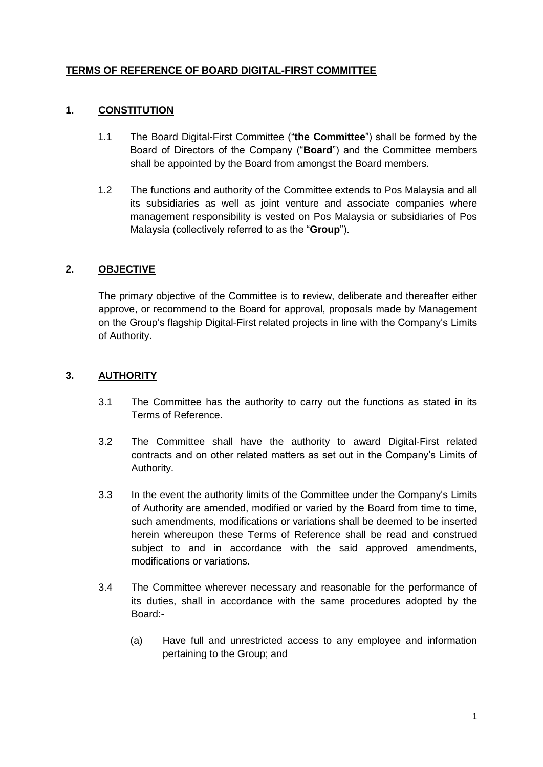## **TERMS OF REFERENCE OF BOARD DIGITAL-FIRST COMMITTEE**

## **1. CONSTITUTION**

- 1.1 The Board Digital-First Committee ("**the Committee**") shall be formed by the Board of Directors of the Company ("**Board**") and the Committee members shall be appointed by the Board from amongst the Board members.
- 1.2 The functions and authority of the Committee extends to Pos Malaysia and all its subsidiaries as well as joint venture and associate companies where management responsibility is vested on Pos Malaysia or subsidiaries of Pos Malaysia (collectively referred to as the "**Group**").

# **2. OBJECTIVE**

The primary objective of the Committee is to review, deliberate and thereafter either approve, or recommend to the Board for approval, proposals made by Management on the Group's flagship Digital-First related projects in line with the Company's Limits of Authority.

## **3. AUTHORITY**

- 3.1 The Committee has the authority to carry out the functions as stated in its Terms of Reference.
- 3.2 The Committee shall have the authority to award Digital-First related contracts and on other related matters as set out in the Company's Limits of Authority.
- 3.3 In the event the authority limits of the Committee under the Company's Limits of Authority are amended, modified or varied by the Board from time to time, such amendments, modifications or variations shall be deemed to be inserted herein whereupon these Terms of Reference shall be read and construed subject to and in accordance with the said approved amendments, modifications or variations.
- 3.4 The Committee wherever necessary and reasonable for the performance of its duties, shall in accordance with the same procedures adopted by the Board:-
	- (a) Have full and unrestricted access to any employee and information pertaining to the Group; and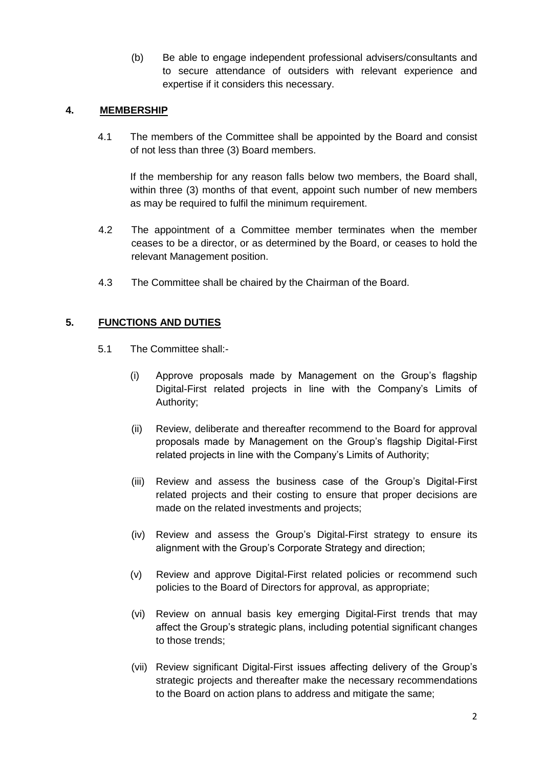(b) Be able to engage independent professional advisers/consultants and to secure attendance of outsiders with relevant experience and expertise if it considers this necessary.

#### **4. MEMBERSHIP**

4.1 The members of the Committee shall be appointed by the Board and consist of not less than three (3) Board members.

If the membership for any reason falls below two members, the Board shall, within three (3) months of that event, appoint such number of new members as may be required to fulfil the minimum requirement.

- 4.2 The appointment of a Committee member terminates when the member ceases to be a director, or as determined by the Board, or ceases to hold the relevant Management position.
- 4.3 The Committee shall be chaired by the Chairman of the Board.

## **5. FUNCTIONS AND DUTIES**

- 5.1 The Committee shall:-
	- (i) Approve proposals made by Management on the Group's flagship Digital-First related projects in line with the Company's Limits of Authority;
	- (ii) Review, deliberate and thereafter recommend to the Board for approval proposals made by Management on the Group's flagship Digital-First related projects in line with the Company's Limits of Authority;
	- (iii) Review and assess the business case of the Group's Digital-First related projects and their costing to ensure that proper decisions are made on the related investments and projects;
	- (iv) Review and assess the Group's Digital-First strategy to ensure its alignment with the Group's Corporate Strategy and direction;
	- (v) Review and approve Digital-First related policies or recommend such policies to the Board of Directors for approval, as appropriate;
	- (vi) Review on annual basis key emerging Digital-First trends that may affect the Group's strategic plans, including potential significant changes to those trends;
	- (vii) Review significant Digital-First issues affecting delivery of the Group's strategic projects and thereafter make the necessary recommendations to the Board on action plans to address and mitigate the same;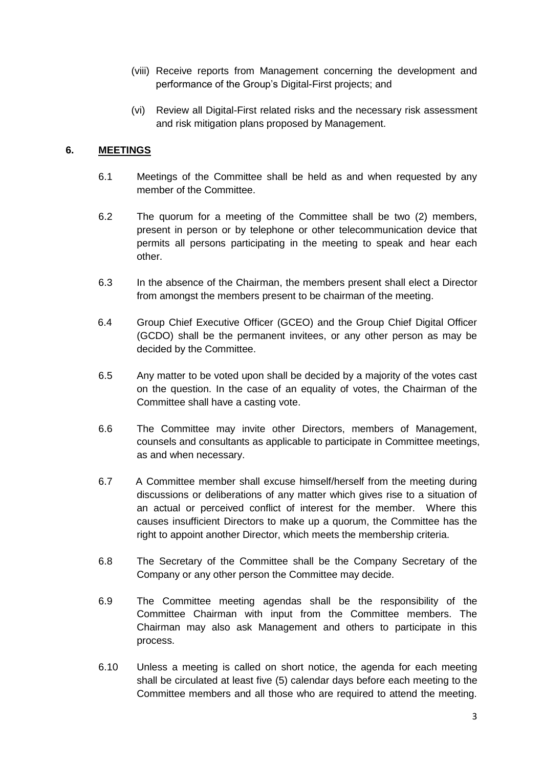- (viii) Receive reports from Management concerning the development and performance of the Group's Digital-First projects; and
- (vi) Review all Digital-First related risks and the necessary risk assessment and risk mitigation plans proposed by Management.

### **6. MEETINGS**

- 6.1 Meetings of the Committee shall be held as and when requested by any member of the Committee.
- 6.2 The quorum for a meeting of the Committee shall be two (2) members, present in person or by telephone or other telecommunication device that permits all persons participating in the meeting to speak and hear each other.
- 6.3 In the absence of the Chairman, the members present shall elect a Director from amongst the members present to be chairman of the meeting.
- 6.4 Group Chief Executive Officer (GCEO) and the Group Chief Digital Officer (GCDO) shall be the permanent invitees, or any other person as may be decided by the Committee.
- 6.5 Any matter to be voted upon shall be decided by a majority of the votes cast on the question. In the case of an equality of votes, the Chairman of the Committee shall have a casting vote.
- 6.6 The Committee may invite other Directors, members of Management, counsels and consultants as applicable to participate in Committee meetings, as and when necessary.
- 6.7 A Committee member shall excuse himself/herself from the meeting during discussions or deliberations of any matter which gives rise to a situation of an actual or perceived conflict of interest for the member. Where this causes insufficient Directors to make up a quorum, the Committee has the right to appoint another Director, which meets the membership criteria.
- 6.8 The Secretary of the Committee shall be the Company Secretary of the Company or any other person the Committee may decide.
- 6.9 The Committee meeting agendas shall be the responsibility of the Committee Chairman with input from the Committee members. The Chairman may also ask Management and others to participate in this process.
- 6.10 Unless a meeting is called on short notice, the agenda for each meeting shall be circulated at least five (5) calendar days before each meeting to the Committee members and all those who are required to attend the meeting.